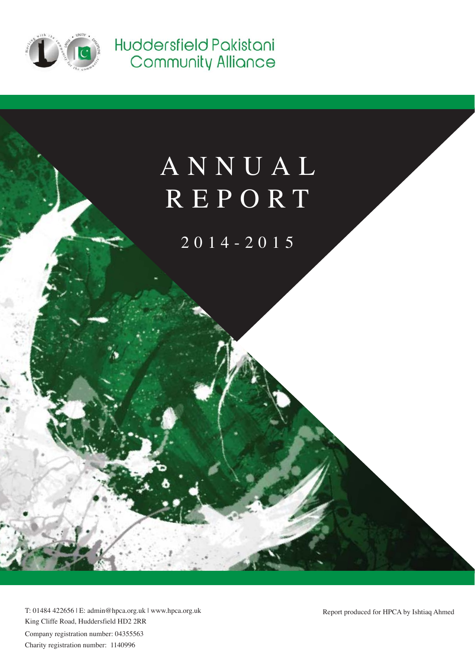

Huddersfield Pakistani Community Alliance

# ANNUAL REPORT

2014-2015

Company registration number: 04355563 Charity registration number: 1140996 T: 01484 422656 | E: admin@hpca.org.uk | www.hpca.org.uk King Cliffe Road, Huddersfield HD2 2RR

Report produced for HPCA by Ishtiaq Ahmed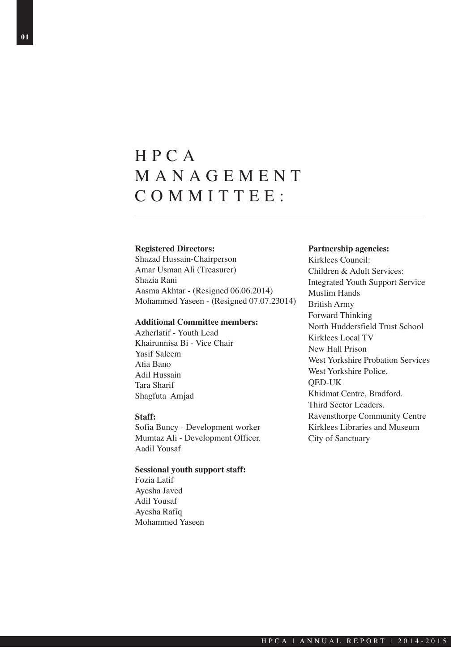# HPCA MANAGEMENT COMMITTEE:

#### **Registered Directors:**

Shazad Hussain-Chairperson Amar Usman Ali (Treasurer) Shazia Rani Aasma Akhtar - (Resigned 06.06.2014) Mohammed Yaseen - (Resigned 07.07.23014)

#### **Additional Committee members:**

Azherlatif - Youth Lead Khairunnisa Bi - Vice Chair Yasif Saleem Atia Bano Adil Hussain Tara Sharif Shagfuta Amjad

#### **Staff:**

Sofia Buncy - Development worker Mumtaz Ali - Development Officer. Aadil Yousaf

#### **Sessional youth support staff:**

Fozia Latif Ayesha Javed Adil Yousaf Ayesha Rafiq Mohammed Yaseen

#### **Partnership agencies:**

Kirklees Council: Children & Adult Services: Integrated Youth Support Service Muslim Hands British Army Forward Thinking North Huddersfield Trust School Kirklees Local TV New Hall Prison West Yorkshire Probation Services West Yorkshire Police. QED-UK Khidmat Centre, Bradford. Third Sector Leaders. Ravensthorpe Community Centre Kirklees Libraries and Museum City of Sanctuary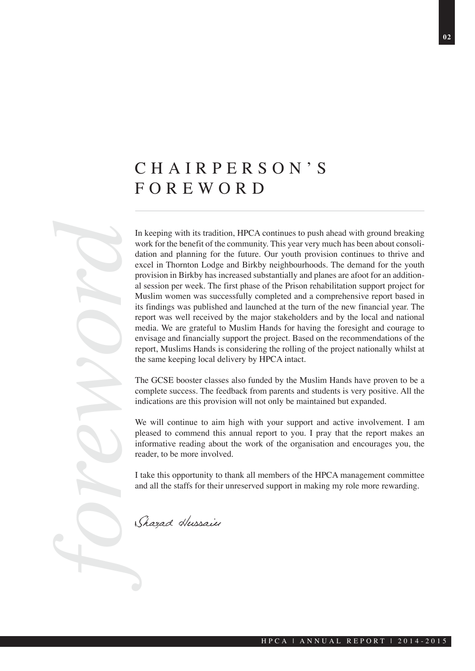# CHAIRPERSON'S FOREWORD

*foreword* In keeping with its tradition, HPCA continues to push ahead with ground breaking work for the benefit of the community. This year very much has been about consolidation and planning for the future. Our youth provision continues to thrive and excel in Thornton Lodge and Birkby neighbourhoods. The demand for the youth provision in Birkby has increased substantially and planes are afoot for an additional session per week. The first phase of the Prison rehabilitation support project for Muslim women was successfully completed and a comprehensive report based in its findings was published and launched at the turn of the new financial year. The report was well received by the major stakeholders and by the local and national media. We are grateful to Muslim Hands for having the foresight and courage to envisage and financially support the project. Based on the recommendations of the report, Muslims Hands is considering the rolling of the project nationally whilst at the same keeping local delivery by HPCA intact.

The GCSE booster classes also funded by the Muslim Hands have proven to be a complete success. The feedback from parents and students is very positive. All the indications are this provision will not only be maintained but expanded.

We will continue to aim high with your support and active involvement. I am pleased to commend this annual report to you. I pray that the report makes an informative reading about the work of the organisation and encourages you, the reader, to be more involved.

I take this opportunity to thank all members of the HPCA management committee and all the staffs for their unreserved support in making my role more rewarding.

Shazad Hussain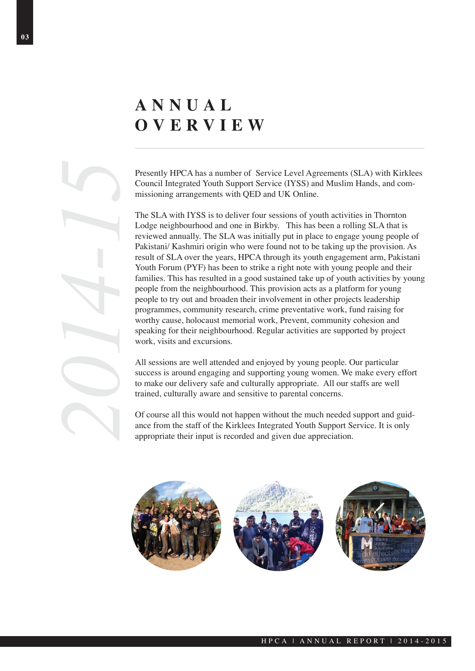# **ANNUAL OVERVIEW**

Presently HPCA has a number of Service Level Agreements (SLA) with Kirklees Council Integrated Youth Support Service (IYSS) and Muslim Hands, and commissioning arrangements with QED and UK Online.

The SLA with IYSS is to deliver four sessions of youth activities in Thornton Lodge neighbourhood and one in Birkby. This has been a rolling SLA that is reviewed annually. The SLA was initially put in place to engage young people of Pakistani/ Kashmiri origin who were found not to be taking up the provision. As result of SLA over the years, HPCA through its youth engagement arm, Pakistani Youth Forum (PYF) has been to strike a right note with young people and their families. This has resulted in a good sustained take up of youth activities by young people from the neighbourhood. This provision acts as a platform for young people to try out and broaden their involvement in other projects leadership programmes, community research, crime preventative work, fund raising for worthy cause, holocaust memorial work, Prevent, community cohesion and speaking for their neighbourhood. Regular activities are supported by project work, visits and excursions. **2014-16** Presently HPCA has a number of Service Level Agreements (Council Integrated Youth Support Service (IYSS) and Muslim missioning arrangements with QED and UK Online.<br>The SLA with IYSS is to deliver four sessions of

All sessions are well attended and enjoyed by young people. Our particular success is around engaging and supporting young women. We make every effort to make our delivery safe and culturally appropriate. All our staffs are well trained, culturally aware and sensitive to parental concerns.

Of course all this would not happen without the much needed support and guidance from the staff of the Kirklees Integrated Youth Support Service. It is only

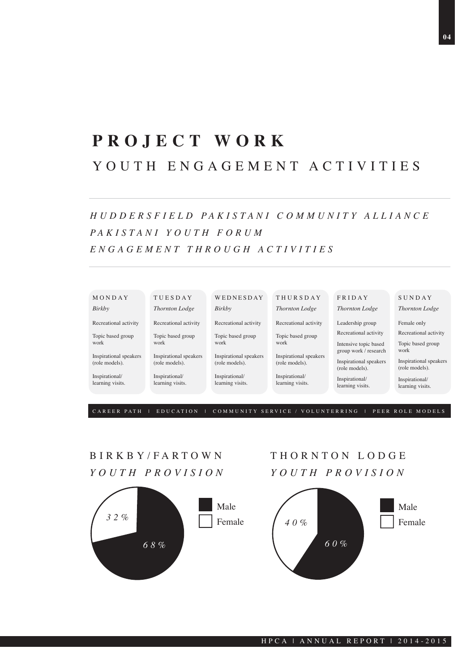# **PROJECT WORK**  YOUTH ENGAGEMENT ACTIVITIES

### *H U D D E R S F I E L D PA K I S TA N I C O M M U N I T Y A L L I A N C E PA K I S TA N I Y O U T H F O R U M ENGAGEMENT THROUGH ACTIVITIES*



CAREER PATH | EDUCATION | COMMUNITY SERVICE / VOLUNTERRING | PEER ROLE MODELS

### BIRKBY/FARTOWN *YOUTH PROVISION*



### THORNTON LODGE *YOUTH PROVISION*

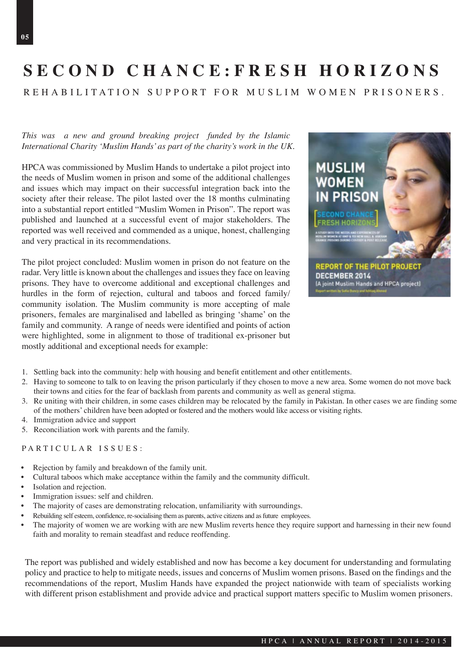# **SECOND CHANCE:FRESH HORIZONS**

REHABILITATION SUPPORT FOR MUSLIM WOMEN PRISONERS.

#### *This was a new and ground breaking project funded by the Islamic International Charity 'Muslim Hands' as part of the charity's work in the UK.*

HPCA was commissioned by Muslim Hands to undertake a pilot project into the needs of Muslim women in prison and some of the additional challenges and issues which may impact on their successful integration back into the society after their release. The pilot lasted over the 18 months culminating into a substantial report entitled "Muslim Women in Prison". The report was published and launched at a successful event of major stakeholders. The reported was well received and commended as a unique, honest, challenging and very practical in its recommendations.

The pilot project concluded: Muslim women in prison do not feature on the radar. Very little is known about the challenges and issues they face on leaving prisons. They have to overcome additional and exceptional challenges and hurdles in the form of rejection, cultural and taboos and forced family/ community isolation. The Muslim community is more accepting of male prisoners, females are marginalised and labelled as bringing 'shame' on the family and community. A range of needs were identified and points of action were highlighted, some in alignment to those of traditional ex-prisoner but mostly additional and exceptional needs for example:



- 1. Settling back into the community: help with housing and benefit entitlement and other entitlements.
- 2. Having to someone to talk to on leaving the prison particularly if they chosen to move a new area. Some women do not move back their towns and cities for the fear of backlash from parents and community as well as general stigma.
- 3. Re uniting with their children, in some cases children may be relocated by the family in Pakistan. In other cases we are finding some of the mothers' children have been adopted or fostered and the mothers would like access or visiting rights.
- 4. Immigration advice and support
- 5. Reconciliation work with parents and the family.

#### PARTICULAR ISSUES:

- Rejection by family and breakdown of the family unit.
- Cultural taboos which make acceptance within the family and the community difficult.
- Isolation and rejection.
- Immigration issues: self and children.
- The majority of cases are demonstrating relocation, unfamiliarity with surroundings.
- Rebuilding self esteem, confidence, re-socialising them as parents, active citizens and as future employees.
- The majority of women we are working with are new Muslim reverts hence they require support and harnessing in their new found faith and morality to remain steadfast and reduce reoffending.

The report was published and widely established and now has become a key document for understanding and formulating policy and practice to help to mitigate needs, issues and concerns of Muslim women prisons. Based on the findings and the recommendations of the report, Muslim Hands have expanded the project nationwide with team of specialists working with different prison establishment and provide advice and practical support matters specific to Muslim women prisoners.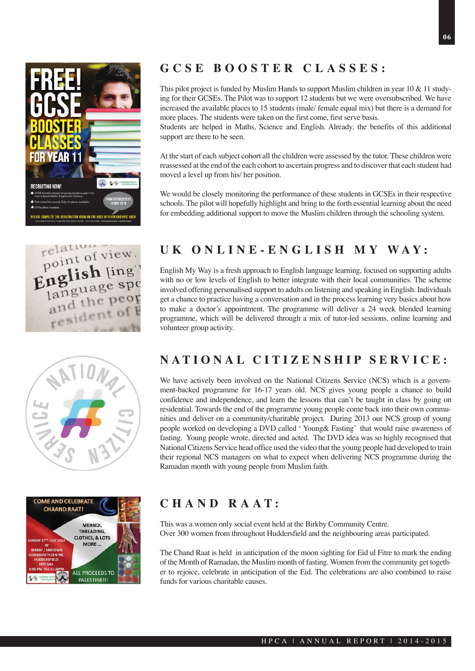







### **GCSE BOOSTER CLASSES:**

This pilot project is funded by Muslim Hands to support Muslim children in year 10 & 11 studying for their GCSEs. The Pilot was to support 12 students but we were oversubscribed. We have increased the available places to 15 students (male/ female equal mix) but there is a demand for more places. The students were taken on the first come, first serve basis.

Students are helped in Maths, Science and English. Already, the benefits of this additional support are there to be seen.

At the start of each subject cohort all the children were assessed by the tutor. These children were reassessed at the end of the each cohort to ascertain progress and to discover that each student had moved a level up from his/ her position.

We would be closely monitoring the performance of these students in GCSEs in their respective schools. The pilot will hopefully highlight and bring to the forth essential learning about the need for embedding additional support to move the Muslim children through the schooling system.

### **UK ONLINE-ENGLISH MY WAY:**

English My Way is a fresh approach to English language learning, focused on supporting adults with no or low levels of English to better integrate with their local communities. The scheme involved offering personalised support to adults on listening and speaking in English. Individuals get a chance to practice having a conversation and in the process learning very basics about how to make a doctor's appointment. The programme will deliver a 24 week blended learning programme, which will be delivered through a mix of tutor-led sessions, online learning and volunteer group activity.

### **NATIONAL CITIZENSHIP SERVICE:**

We have actively been involved on the National Citizens Service (NCS) which is a government-backed programme for 16-17 years old. NCS gives young people a chance to build confidence and independence, and learn the lessons that can't be taught in class by going on residential. Towards the end of the programme young people come back into their own communities and deliver on a community/charitable project. During 2013 our NCS group of young people worked on developing a DVD called ' Young& Fasting' that would raise awareness of fasting. Young people wrote, directed and acted. The DVD idea was so highly recognised that National Citizens Service head office used the video that the young people had developed to train their regional NCS managers on what to expect when delivering NCS programme during the Ramadan month with young people from Muslim faith.

### **CHAND RAAT:**

This was a women only social event held at the Birkby Community Centre. Over 300 women from throughout Huddersfield and the neighbouring areas participated.

The Chand Raat is held in anticipation of the moon sighting for Eid ul Fitre to mark the ending of the Month of Ramadan, the Muslim month of fasting. Women from the community get together to rejoice, celebrate in anticipation of the Eid. The celebrations are also combined to raise funds for various charitable causes.